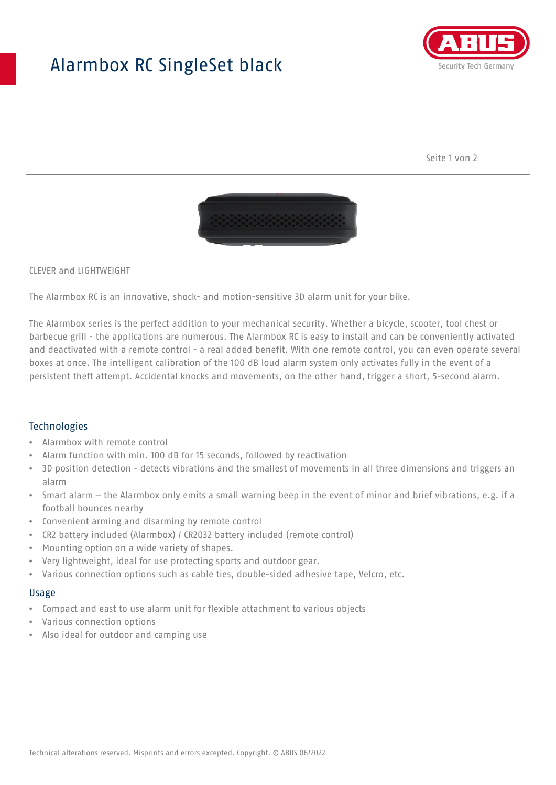## Alarmbox RC SingleSet black



Seite 1 von 2



#### CLEVER and LIGHTWEIGHT

The Alarmbox RC is an innovative, shock- and motion-sensitive 3D alarm unit for your bike.

The Alarmbox series is the perfect addition to your mechanical security. Whether a bicycle, scooter, tool chest or barbecue grill - the applications are numerous. The Alarmbox RC is easy to install and can be conveniently activated and deactivated with a remote control - a real added benefit. With one remote control, you can even operate several boxes at once. The intelligent calibration of the 100 dB loud alarm system only activates fully in the event of a persistent theft attempt. Accidental knocks and movements, on the other hand, trigger a short, 5-second alarm.

#### **Technologies**

- Alarmbox with remote control
- Alarm function with min. 100 dB for 15 seconds, followed by reactivation
- 3D position detection detects vibrations and the smallest of movements in all three dimensions and triggers an alarm
- Smart alarm the Alarmbox only emits a small warning beep in the event of minor and brief vibrations, e.g. if a football bounces nearby
- Convenient arming and disarming by remote control
- CR2 battery included (Alarmbox) / CR2032 battery included (remote control)
- Mounting option on a wide variety of shapes.
- Very lightweight, ideal for use protecting sports and outdoor gear.
- Various connection options such as cable ties, double-sided adhesive tape, Velcro, etc.

#### Usage

- Compact and east to use alarm unit for flexible attachment to various objects
- Various connection options
- Also ideal for outdoor and camping use